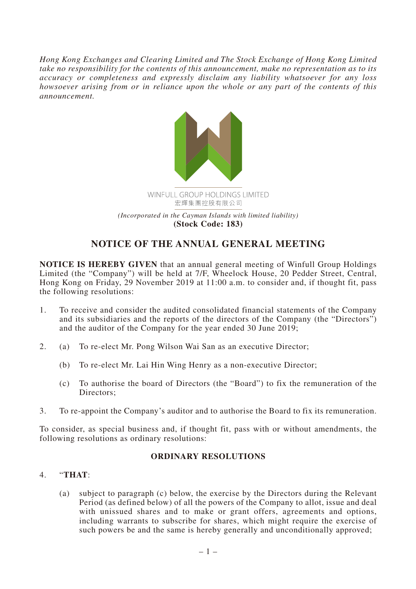*Hong Kong Exchanges and Clearing Limited and The Stock Exchange of Hong Kong Limited take no responsibility for the contents of this announcement, make no representation as to its accuracy or completeness and expressly disclaim any liability whatsoever for any loss howsoever arising from or in reliance upon the whole or any part of the contents of this announcement.*



## **NOTICE OF THE ANNUAL GENERAL MEETING**

**NOTICE IS HEREBY GIVEN** that an annual general meeting of Winfull Group Holdings Limited (the "Company") will be held at 7/F, Wheelock House, 20 Pedder Street, Central, Hong Kong on Friday, 29 November 2019 at 11:00 a.m. to consider and, if thought fit, pass the following resolutions:

- 1. To receive and consider the audited consolidated financial statements of the Company and its subsidiaries and the reports of the directors of the Company (the "Directors") and the auditor of the Company for the year ended 30 June 2019;
- 2. (a) To re-elect Mr. Pong Wilson Wai San as an executive Director;
	- (b) To re-elect Mr. Lai Hin Wing Henry as a non-executive Director;
	- (c) To authorise the board of Directors (the "Board") to fix the remuneration of the Directors;
- 3. To re-appoint the Company's auditor and to authorise the Board to fix its remuneration.

To consider, as special business and, if thought fit, pass with or without amendments, the following resolutions as ordinary resolutions:

## **ORDINARY RESOLUTIONS**

## 4. "**THAT**:

(a) subject to paragraph (c) below, the exercise by the Directors during the Relevant Period (as defined below) of all the powers of the Company to allot, issue and deal with unissued shares and to make or grant offers, agreements and options, including warrants to subscribe for shares, which might require the exercise of such powers be and the same is hereby generally and unconditionally approved;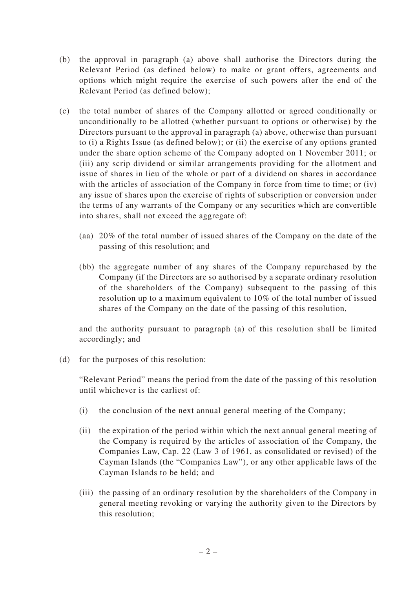- (b) the approval in paragraph (a) above shall authorise the Directors during the Relevant Period (as defined below) to make or grant offers, agreements and options which might require the exercise of such powers after the end of the Relevant Period (as defined below);
- (c) the total number of shares of the Company allotted or agreed conditionally or unconditionally to be allotted (whether pursuant to options or otherwise) by the Directors pursuant to the approval in paragraph (a) above, otherwise than pursuant to (i) a Rights Issue (as defined below); or (ii) the exercise of any options granted under the share option scheme of the Company adopted on 1 November 2011; or (iii) any scrip dividend or similar arrangements providing for the allotment and issue of shares in lieu of the whole or part of a dividend on shares in accordance with the articles of association of the Company in force from time to time; or (iv) any issue of shares upon the exercise of rights of subscription or conversion under the terms of any warrants of the Company or any securities which are convertible into shares, shall not exceed the aggregate of:
	- (aa) 20% of the total number of issued shares of the Company on the date of the passing of this resolution; and
	- (bb) the aggregate number of any shares of the Company repurchased by the Company (if the Directors are so authorised by a separate ordinary resolution of the shareholders of the Company) subsequent to the passing of this resolution up to a maximum equivalent to 10% of the total number of issued shares of the Company on the date of the passing of this resolution,

and the authority pursuant to paragraph (a) of this resolution shall be limited accordingly; and

(d) for the purposes of this resolution:

"Relevant Period" means the period from the date of the passing of this resolution until whichever is the earliest of:

- (i) the conclusion of the next annual general meeting of the Company;
- (ii) the expiration of the period within which the next annual general meeting of the Company is required by the articles of association of the Company, the Companies Law, Cap. 22 (Law 3 of 1961, as consolidated or revised) of the Cayman Islands (the "Companies Law"), or any other applicable laws of the Cayman Islands to be held; and
- (iii) the passing of an ordinary resolution by the shareholders of the Company in general meeting revoking or varying the authority given to the Directors by this resolution;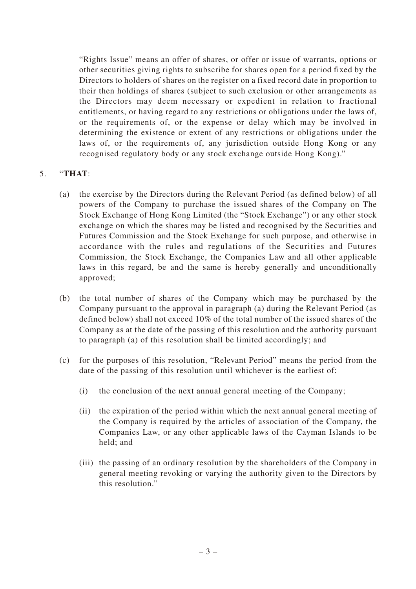"Rights Issue" means an offer of shares, or offer or issue of warrants, options or other securities giving rights to subscribe for shares open for a period fixed by the Directors to holders of shares on the register on a fixed record date in proportion to their then holdings of shares (subject to such exclusion or other arrangements as the Directors may deem necessary or expedient in relation to fractional entitlements, or having regard to any restrictions or obligations under the laws of, or the requirements of, or the expense or delay which may be involved in determining the existence or extent of any restrictions or obligations under the laws of, or the requirements of, any jurisdiction outside Hong Kong or any recognised regulatory body or any stock exchange outside Hong Kong)."

## 5. "**THAT**:

- (a) the exercise by the Directors during the Relevant Period (as defined below) of all powers of the Company to purchase the issued shares of the Company on The Stock Exchange of Hong Kong Limited (the "Stock Exchange") or any other stock exchange on which the shares may be listed and recognised by the Securities and Futures Commission and the Stock Exchange for such purpose, and otherwise in accordance with the rules and regulations of the Securities and Futures Commission, the Stock Exchange, the Companies Law and all other applicable laws in this regard, be and the same is hereby generally and unconditionally approved;
- (b) the total number of shares of the Company which may be purchased by the Company pursuant to the approval in paragraph (a) during the Relevant Period (as defined below) shall not exceed 10% of the total number of the issued shares of the Company as at the date of the passing of this resolution and the authority pursuant to paragraph (a) of this resolution shall be limited accordingly; and
- (c) for the purposes of this resolution, "Relevant Period" means the period from the date of the passing of this resolution until whichever is the earliest of:
	- (i) the conclusion of the next annual general meeting of the Company;
	- (ii) the expiration of the period within which the next annual general meeting of the Company is required by the articles of association of the Company, the Companies Law, or any other applicable laws of the Cayman Islands to be held; and
	- (iii) the passing of an ordinary resolution by the shareholders of the Company in general meeting revoking or varying the authority given to the Directors by this resolution."